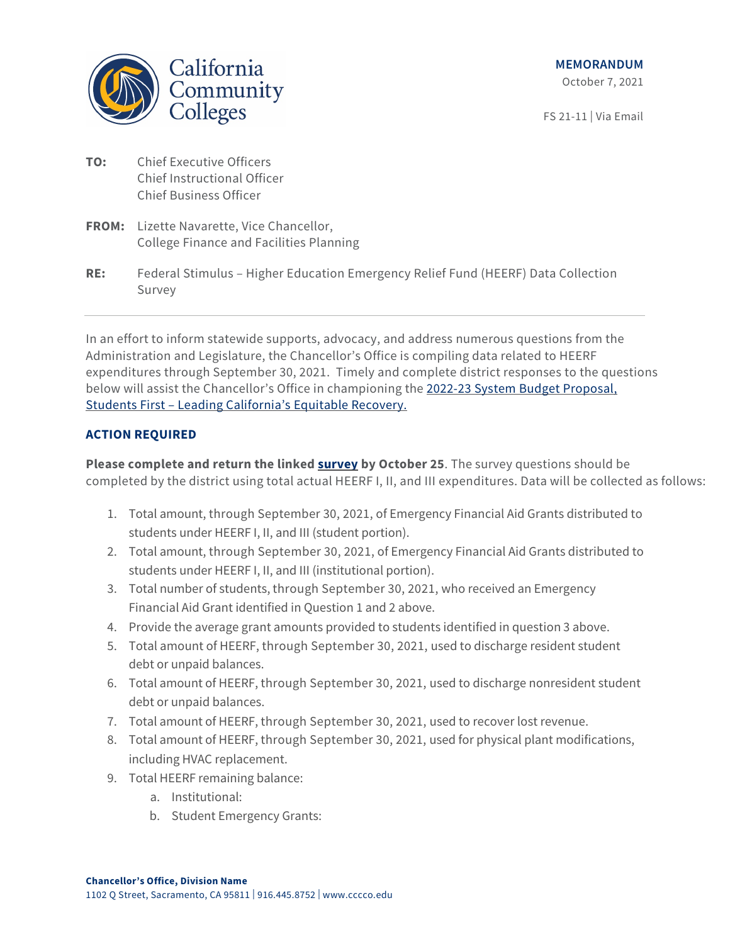

FS 21-11 | Via Email

- **TO:** Chief Executive Officers Chief Instructional Officer Chief Business Officer
- **FROM:** Lizette Navarette, Vice Chancellor, College Finance and Facilities Planning
- **RE:** Federal Stimulus Higher Education Emergency Relief Fund (HEERF) Data Collection Survey

In an effort to inform statewide supports, advocacy, and address numerous questions from the Administration and Legislature, the Chancellor's Office is compiling data related to HEERF expenditures through September 30, 2021. Timely and complete district responses to the questions below will assist the Chancellor's Office in championing the [2022-23 System Budget Proposal,](https://www.cccco.edu/-/media/CCCCO-Website/College-Finance-and-Facilities/Budget-News/September-2021/2022-23-System-Budget-Request_For-BOG-Approval-V2.pdf?la=en&hash=3C80202CA5CA33709515A814A38679200A386CEF)  [Students First – Leading California's Equitable Recovery.](https://www.cccco.edu/-/media/CCCCO-Website/College-Finance-and-Facilities/Budget-News/September-2021/2022-23-System-Budget-Request_For-BOG-Approval-V2.pdf?la=en&hash=3C80202CA5CA33709515A814A38679200A386CEF)

## **ACTION REQUIRED**

**Please complete and return the linked [survey](https://survey.alchemer.com/s3/6562569/HEERF-Survey) by October 25**. The survey questions should be completed by the district using total actual HEERF I, II, and III expenditures. Data will be collected as follows:

- 1. Total amount, through September 30, 2021, of Emergency Financial Aid Grants distributed to students under HEERF I, II, and III (student portion).
- 2. Total amount, through September 30, 2021, of Emergency Financial Aid Grants distributed to students under HEERF I, II, and III (institutional portion).
- 3. Total number of students, through September 30, 2021, who received an Emergency Financial Aid Grant identified in Question 1 and 2 above.
- 4. Provide the average grant amounts provided to students identified in question 3 above.
- 5. Total amount of HEERF, through September 30, 2021, used to discharge resident student debt or unpaid balances.
- 6. Total amount of HEERF, through September 30, 2021, used to discharge nonresident student debt or unpaid balances.
- 7. Total amount of HEERF, through September 30, 2021, used to recover lost revenue.
- 8. Total amount of HEERF, through September 30, 2021, used for physical plant modifications, including HVAC replacement.
- 9. Total HEERF remaining balance:
	- a. Institutional:
	- b. Student Emergency Grants: